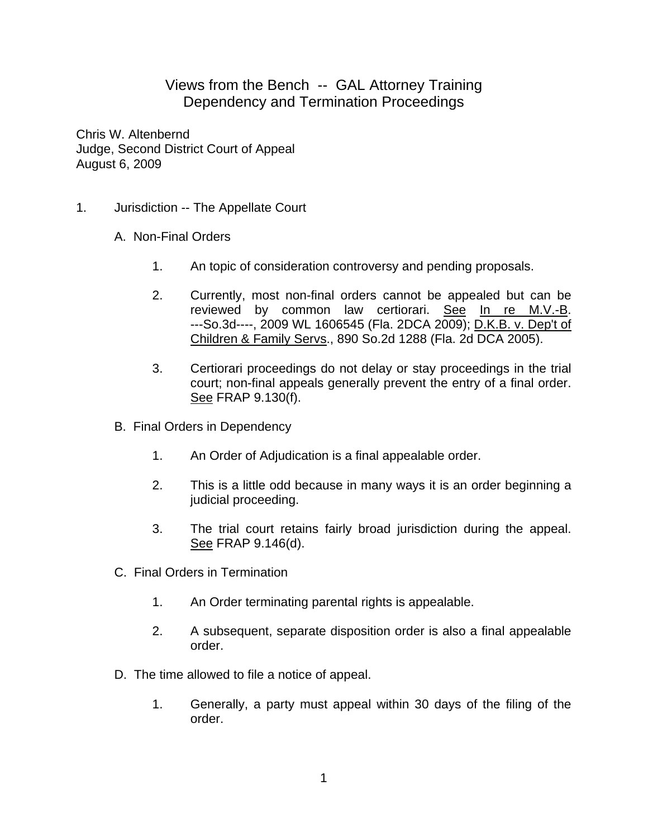## Views from the Bench -- GAL Attorney Training Dependency and Termination Proceedings

Chris W. Altenbernd Judge, Second District Court of Appeal August 6, 2009

- 1. Jurisdiction -- The Appellate Court
	- A. Non-Final Orders
		- 1. An topic of consideration controversy and pending proposals.
		- 2. Currently, most non-final orders cannot be appealed but can be reviewed by common law certiorari. See In re M.V.-B. ---So.3d----, 2009 WL 1606545 (Fla. 2DCA 2009); D.K.B. v. Dep't of Children & Family Servs., 890 So.2d 1288 (Fla. 2d DCA 2005).
		- 3. Certiorari proceedings do not delay or stay proceedings in the trial court; non-final appeals generally prevent the entry of a final order. See FRAP 9.130(f).
	- B. Final Orders in Dependency
		- 1. An Order of Adjudication is a final appealable order.
		- 2. This is a little odd because in many ways it is an order beginning a judicial proceeding.
		- 3. The trial court retains fairly broad jurisdiction during the appeal. See FRAP 9.146(d).
	- C. Final Orders in Termination
		- 1. An Order terminating parental rights is appealable.
		- 2. A subsequent, separate disposition order is also a final appealable order.
	- D. The time allowed to file a notice of appeal.
		- 1. Generally, a party must appeal within 30 days of the filing of the order.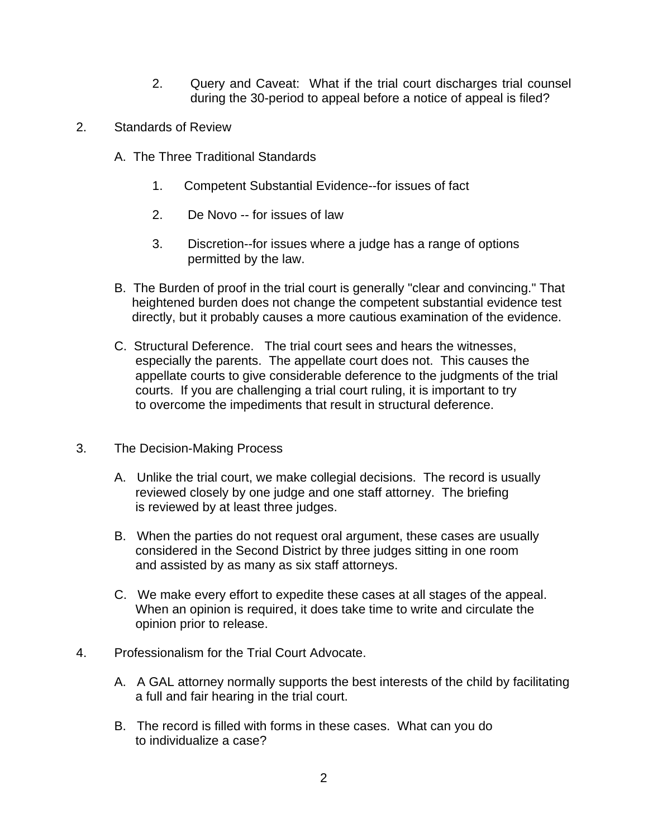- 2. Query and Caveat: What if the trial court discharges trial counsel during the 30-period to appeal before a notice of appeal is filed?
- 2. Standards of Review
	- A. The Three Traditional Standards
		- 1. Competent Substantial Evidence--for issues of fact
		- 2. De Novo -- for issues of law
		- 3. Discretion--for issues where a judge has a range of options permitted by the law.
	- B. The Burden of proof in the trial court is generally "clear and convincing." That heightened burden does not change the competent substantial evidence test directly, but it probably causes a more cautious examination of the evidence.
	- C. Structural Deference. The trial court sees and hears the witnesses, especially the parents. The appellate court does not. This causes the appellate courts to give considerable deference to the judgments of the trial courts. If you are challenging a trial court ruling, it is important to try to overcome the impediments that result in structural deference.
- 3. The Decision-Making Process
	- A. Unlike the trial court, we make collegial decisions. The record is usually reviewed closely by one judge and one staff attorney. The briefing is reviewed by at least three judges.
	- B. When the parties do not request oral argument, these cases are usually considered in the Second District by three judges sitting in one room and assisted by as many as six staff attorneys.
	- C. We make every effort to expedite these cases at all stages of the appeal. When an opinion is required, it does take time to write and circulate the opinion prior to release.
- 4. Professionalism for the Trial Court Advocate.
	- A. A GAL attorney normally supports the best interests of the child by facilitating a full and fair hearing in the trial court.
	- B. The record is filled with forms in these cases. What can you do to individualize a case?